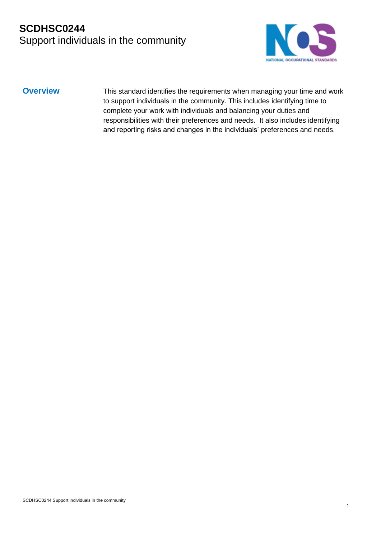

**Overview** This standard identifies the requirements when managing your time and work to support individuals in the community. This includes identifying time to complete your work with individuals and balancing your duties and responsibilities with their preferences and needs. It also includes identifying and reporting risks and changes in the individuals' preferences and needs.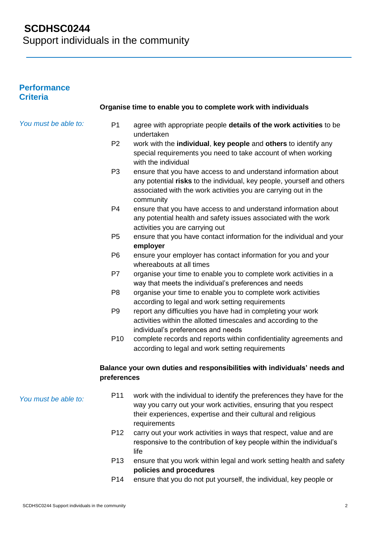| <b>Performance</b><br><b>Criteria</b> |                 |                                                                                                                                                                                                                              |
|---------------------------------------|-----------------|------------------------------------------------------------------------------------------------------------------------------------------------------------------------------------------------------------------------------|
|                                       |                 | Organise time to enable you to complete work with individuals                                                                                                                                                                |
| You must be able to:                  | P <sub>1</sub>  | agree with appropriate people details of the work activities to be<br>undertaken                                                                                                                                             |
|                                       | P <sub>2</sub>  | work with the individual, key people and others to identify any<br>special requirements you need to take account of when working<br>with the individual                                                                      |
|                                       | P <sub>3</sub>  | ensure that you have access to and understand information about<br>any potential risks to the individual, key people, yourself and others<br>associated with the work activities you are carrying out in the<br>community    |
|                                       | P <sub>4</sub>  | ensure that you have access to and understand information about<br>any potential health and safety issues associated with the work<br>activities you are carrying out                                                        |
|                                       | P <sub>5</sub>  | ensure that you have contact information for the individual and your<br>employer                                                                                                                                             |
|                                       | P <sub>6</sub>  | ensure your employer has contact information for you and your<br>whereabouts at all times                                                                                                                                    |
|                                       | P7              | organise your time to enable you to complete work activities in a<br>way that meets the individual's preferences and needs                                                                                                   |
|                                       | P <sub>8</sub>  | organise your time to enable you to complete work activities<br>according to legal and work setting requirements                                                                                                             |
|                                       | P <sub>9</sub>  | report any difficulties you have had in completing your work<br>activities within the allotted timescales and according to the<br>individual's preferences and needs                                                         |
|                                       | P <sub>10</sub> | complete records and reports within confidentiality agreements and<br>according to legal and work setting requirements                                                                                                       |
|                                       | preferences     | Balance your own duties and responsibilities with individuals' needs and                                                                                                                                                     |
| You must be able to:                  | P <sub>11</sub> | work with the individual to identify the preferences they have for the<br>way you carry out your work activities, ensuring that you respect<br>their experiences, expertise and their cultural and religious<br>requirements |
|                                       | P <sub>12</sub> | carry out your work activities in ways that respect, value and are<br>responsive to the contribution of key people within the individual's<br>life                                                                           |
|                                       | P <sub>13</sub> | ensure that you work within legal and work setting health and safety<br>policies and procedures                                                                                                                              |

P14 ensure that you do not put yourself, the individual, key people or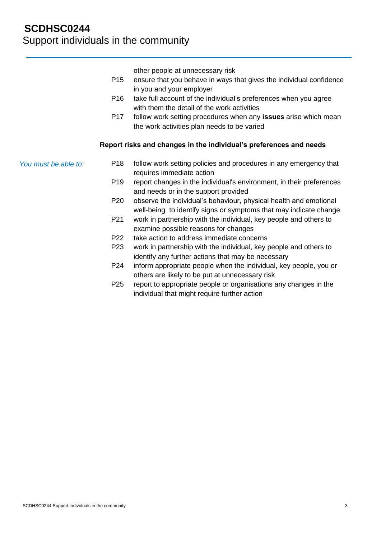other people at unnecessary risk

- P15 ensure that you behave in ways that gives the individual confidence in you and your employer
- P16 take full account of the individual's preferences when you agree with them the detail of the work activities
- P17 follow work setting procedures when any **issues** arise which mean the work activities plan needs to be varied

#### **Report risks and changes in the individual's preferences and needs**

*You must be able to:*

- P18 follow work setting policies and procedures in any emergency that requires immediate action
- P19 report changes in the individual's environment, in their preferences and needs or in the support provided
- P20 observe the individual's behaviour, physical health and emotional well-being to identify signs or symptoms that may indicate change
- P21 work in partnership with the individual, key people and others to examine possible reasons for changes
- P22 take action to address immediate concerns
- P23 work in partnership with the individual, key people and others to identify any further actions that may be necessary
- P24 inform appropriate people when the individual, key people, you or others are likely to be put at unnecessary risk
- P25 report to appropriate people or organisations any changes in the individual that might require further action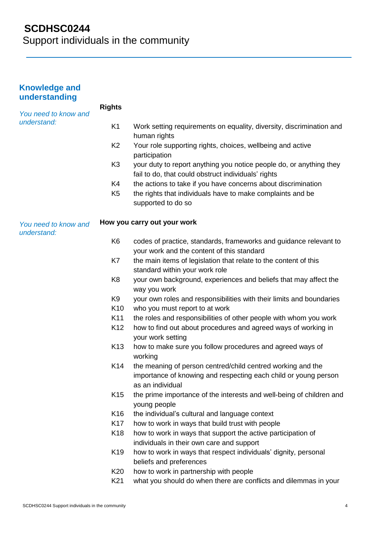# **SCDHSC0244**

Support individuals in the community

| <b>Knowledge and</b><br>understanding |                 |                                                                                                                                                    |
|---------------------------------------|-----------------|----------------------------------------------------------------------------------------------------------------------------------------------------|
| You need to know and<br>understand:   | <b>Rights</b>   |                                                                                                                                                    |
|                                       | K <sub>1</sub>  | Work setting requirements on equality, diversity, discrimination and<br>human rights                                                               |
|                                       | K <sub>2</sub>  | Your role supporting rights, choices, wellbeing and active<br>participation                                                                        |
|                                       | K <sub>3</sub>  | your duty to report anything you notice people do, or anything they<br>fail to do, that could obstruct individuals' rights                         |
|                                       | K4              | the actions to take if you have concerns about discrimination                                                                                      |
|                                       | K <sub>5</sub>  | the rights that individuals have to make complaints and be<br>supported to do so                                                                   |
| You need to know and<br>understand:   |                 | How you carry out your work                                                                                                                        |
|                                       | K <sub>6</sub>  | codes of practice, standards, frameworks and guidance relevant to<br>your work and the content of this standard                                    |
|                                       | K7              | the main items of legislation that relate to the content of this<br>standard within your work role                                                 |
|                                       | K <sub>8</sub>  | your own background, experiences and beliefs that may affect the<br>way you work                                                                   |
|                                       | K <sub>9</sub>  | your own roles and responsibilities with their limits and boundaries                                                                               |
|                                       | K <sub>10</sub> | who you must report to at work                                                                                                                     |
|                                       | K11             | the roles and responsibilities of other people with whom you work                                                                                  |
|                                       | K <sub>12</sub> | how to find out about procedures and agreed ways of working in<br>your work setting                                                                |
|                                       | K <sub>13</sub> | how to make sure you follow procedures and agreed ways of<br>working                                                                               |
|                                       | K14             | the meaning of person centred/child centred working and the<br>importance of knowing and respecting each child or young person<br>as an individual |
|                                       | K <sub>15</sub> | the prime importance of the interests and well-being of children and<br>young people                                                               |
|                                       | K16             | the individual's cultural and language context                                                                                                     |
|                                       | K17             | how to work in ways that build trust with people                                                                                                   |
|                                       | K <sub>18</sub> | how to work in ways that support the active participation of<br>individuals in their own care and support                                          |
|                                       | K <sub>19</sub> | how to work in ways that respect individuals' dignity, personal<br>beliefs and preferences                                                         |
|                                       | K20             | how to work in partnership with people                                                                                                             |
|                                       | K21             | what you should do when there are conflicts and dilemmas in your                                                                                   |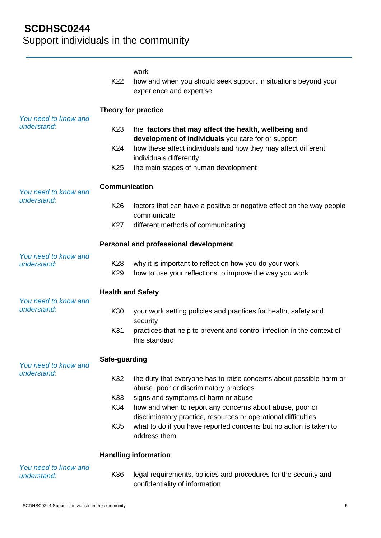|                                     | K22                      | work<br>how and when you should seek support in situations beyond your<br>experience and expertise                         |  |
|-------------------------------------|--------------------------|----------------------------------------------------------------------------------------------------------------------------|--|
| You need to know and                | Theory for practice      |                                                                                                                            |  |
| understand:                         | K <sub>23</sub>          | the factors that may affect the health, wellbeing and<br>development of individuals you care for or support                |  |
|                                     | K24                      | how these affect individuals and how they may affect different<br>individuals differently                                  |  |
|                                     | K <sub>25</sub>          | the main stages of human development                                                                                       |  |
| You need to know and<br>understand: | <b>Communication</b>     |                                                                                                                            |  |
|                                     | K <sub>26</sub>          | factors that can have a positive or negative effect on the way people<br>communicate                                       |  |
|                                     | K27                      | different methods of communicating                                                                                         |  |
|                                     |                          | <b>Personal and professional development</b>                                                                               |  |
| You need to know and<br>understand: | K28<br>K <sub>29</sub>   | why it is important to reflect on how you do your work<br>how to use your reflections to improve the way you work          |  |
| You need to know and<br>understand: | <b>Health and Safety</b> |                                                                                                                            |  |
|                                     | K30                      | your work setting policies and practices for health, safety and<br>security                                                |  |
|                                     | K31                      | practices that help to prevent and control infection in the context of<br>this standard                                    |  |
| You need to know and                | Safe-guarding            |                                                                                                                            |  |
| understand:                         | K32                      | the duty that everyone has to raise concerns about possible harm or<br>abuse, poor or discriminatory practices             |  |
|                                     | K33                      | signs and symptoms of harm or abuse                                                                                        |  |
|                                     | K34                      | how and when to report any concerns about abuse, poor or<br>discriminatory practice, resources or operational difficulties |  |
|                                     | K35                      | what to do if you have reported concerns but no action is taken to<br>address them                                         |  |
|                                     |                          | <b>Handling information</b>                                                                                                |  |
| You need to know and<br>understand: | K36                      | legal requirements, policies and procedures for the security and<br>confidentiality of information                         |  |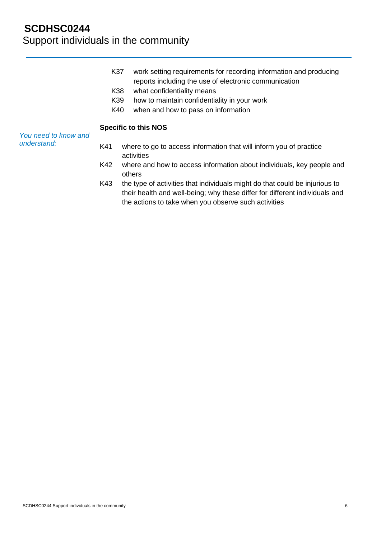- K37 work setting requirements for recording information and producing reports including the use of electronic communication
- K38 what confidentiality means
- K39 how to maintain confidentiality in your work
- K40 when and how to pass on information

#### **Specific to this NOS**

*You need to know and understand:*

- K41 where to go to access information that will inform you of practice activities
- K42 where and how to access information about individuals, key people and others
- K43 the type of activities that individuals might do that could be injurious to their health and well-being; why these differ for different individuals and the actions to take when you observe such activities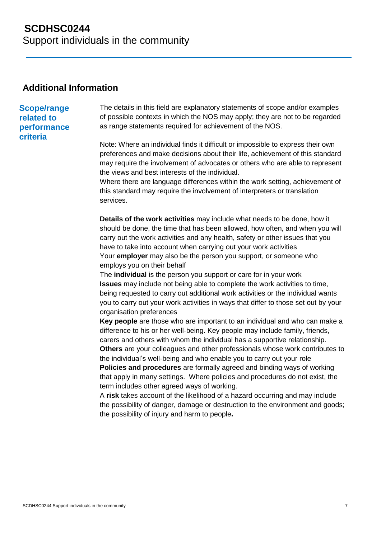### **Additional Information**

#### **Scope/range related to performance criteria**

The details in this field are explanatory statements of scope and/or examples of possible contexts in which the NOS may apply; they are not to be regarded as range statements required for achievement of the NOS.

Note: Where an individual finds it difficult or impossible to express their own preferences and make decisions about their life, achievement of this standard may require the involvement of advocates or others who are able to represent the views and best interests of the individual.

Where there are language differences within the work setting, achievement of this standard may require the involvement of interpreters or translation services.

**Details of the work activities** may include what needs to be done, how it should be done, the time that has been allowed, how often, and when you will carry out the work activities and any health, safety or other issues that you have to take into account when carrying out your work activities Your **employer** may also be the person you support, or someone who employs you on their behalf

The **individual** is the person you support or care for in your work **Issues** may include not being able to complete the work activities to time, being requested to carry out additional work activities or the individual wants you to carry out your work activities in ways that differ to those set out by your organisation preferences

**Key people** are those who are important to an individual and who can make a difference to his or her well-being. Key people may include family, friends, carers and others with whom the individual has a supportive relationship. **Others** are your colleagues and other professionals whose work contributes to

the individual's well-being and who enable you to carry out your role **Policies and procedures** are formally agreed and binding ways of working that apply in many settings. Where policies and procedures do not exist, the term includes other agreed ways of working.

A **risk** takes account of the likelihood of a hazard occurring and may include the possibility of danger, damage or destruction to the environment and goods; the possibility of injury and harm to people**.**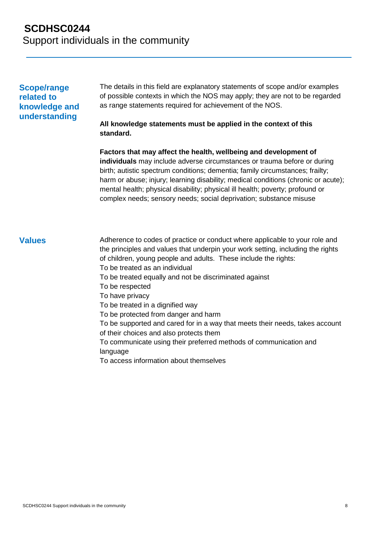### **Scope/range related to knowledge and understanding**

The details in this field are explanatory statements of scope and/or examples of possible contexts in which the NOS may apply; they are not to be regarded as range statements required for achievement of the NOS.

#### **All knowledge statements must be applied in the context of this standard.**

**Factors that may affect the health, wellbeing and development of individuals** may include adverse circumstances or trauma before or during birth; autistic spectrum conditions; dementia; family circumstances; frailty; harm or abuse; injury; learning disability; medical conditions (chronic or acute); mental health; physical disability; physical ill health; poverty; profound or complex needs; sensory needs; social deprivation; substance misuse

**Values** Adherence to codes of practice or conduct where applicable to your role and the principles and values that underpin your work setting, including the rights of children, young people and adults. These include the rights: To be treated as an individual To be treated equally and not be discriminated against To be respected To have privacy To be treated in a dignified way To be protected from danger and harm To be supported and cared for in a way that meets their needs, takes account of their choices and also protects them To communicate using their preferred methods of communication and language

To access information about themselves